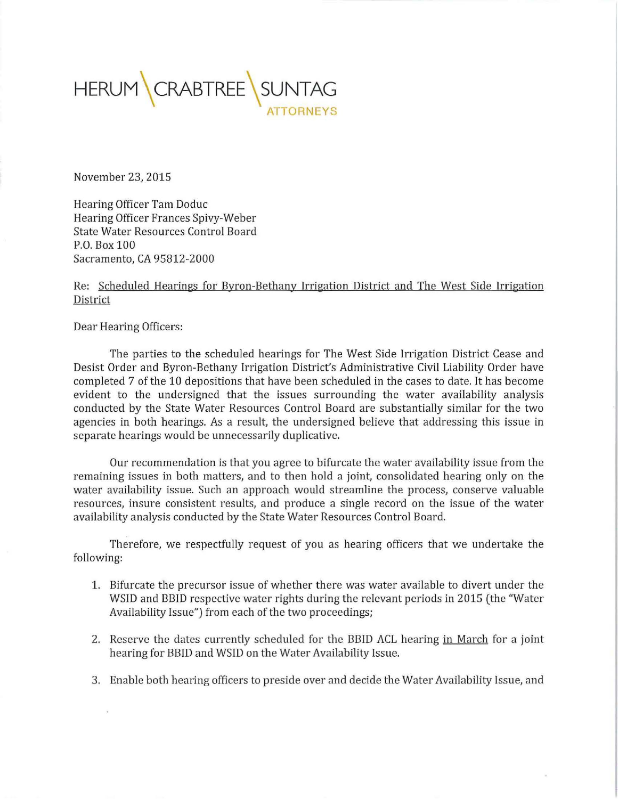

November 23, 2015

Hearing Officer Tam Doduc Hearing Officer Frances Spivy-Weber State Water Resources Control Board P.O. Box 100 Sacramento, CA 95812-2000

## Re: Scheduled Hearings for Byron-Bethany Irrigation District and The West Side Irrigation District

Dear Hearing Officers:

The parties to the scheduled hearings for The West Side Irrigation District Cease and Desist Order and Byron-Bethany Irrigation District's Administrative Civil Liability Order have completed 7 of the 10 depositions that have been scheduled in the cases to date. It has become evident to the undersigned that the issues surrounding the water availability analysis conducted by the State Water Resources Control Board are substantially similar for the two agencies in both hearings. As a result, the undersigned believe that addressing this issue in separate hearings would be unnecessarily duplicative.

Our recommendation is that you agree to bifurcate the water availability issue from the remaining issues in both matters, and to then hold a joint, consolidated hearing only on the water availability issue. Such an approach would streamline the process, conserve valuable resources, insure consistent results, and produce a single record on the issue of the water availability analysis conducted by the State Water Resources Control Board.

Therefore, we respectfully request of you as hearing officers that we undertake the following:

- 1. Bifurcate the precursor issue of whether there was water available to divert under the WSID and BBID respective water rights during the relevant periods in 2015 (the "Water Availability Issue") from each of the two proceedings;
- 2. Reserve the dates currently scheduled for the BBID ACL hearing in March for a joint hearing for BBID and WSID on the Water Availability Issue.
- 3. Enable both hearing officers to preside over and decide the Water Availability Issue, and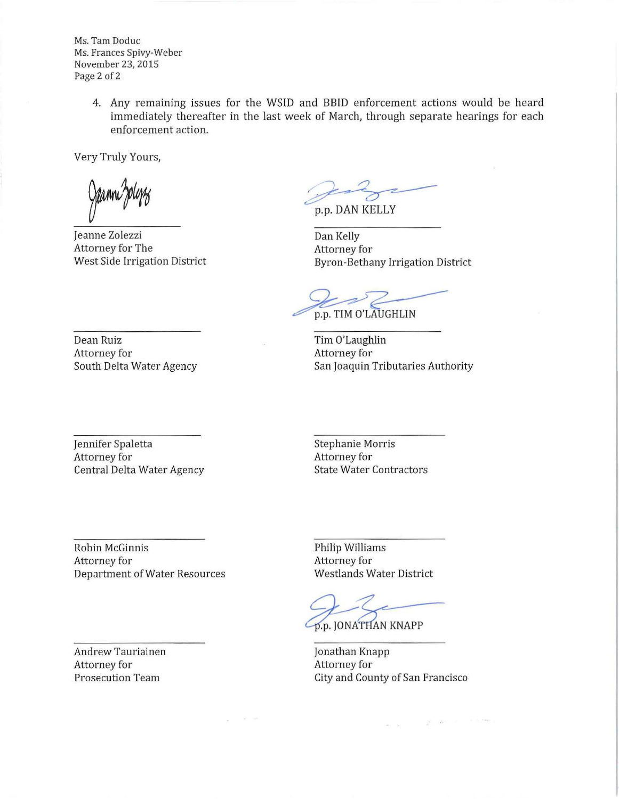Ms. Tam Doduc Ms. Frances Spivy-Weber November 23, 2015 Page 2 of 2

> 4. Any remaining issues for the WSID and 8810 enforcement actions would be heard immediately thereafter in the last week of March, through separate hearings for each enforcement action.

Very Truly Yours,

Jeanne Zolezzi Attorney for The West Side Irrigation District

p.p. DAN KELLY where, an edges separate hearings for each.

Dan Kelly Attorney for Byron-Bethany Irrigation District

p.p. TIM O'LAUGHLIN

Tim O'Laughlin Attorney for San Joaquin Tributaries Authority

Dean Ruiz Attorney for South Delta Water Agency

Jennifer Spaletta Attorney for Central Delta Water Agency Stephanie Morris Attorney for State Water Contractors

Robin McGinnis Attorney for Department of Water Resources

and the pro-

Andrew Tauriainen Attorney for Prosecution Team

Philip Williams Attorney for Westlands Water District

p.p. JONATHAN KNAPP

Jonathan Knapp Attorney for City and County of San Francisco

 $\alpha$  . <br> <br> :

 $\mathcal{E} = 2\pi r^2 - 10^{-10}$  . For each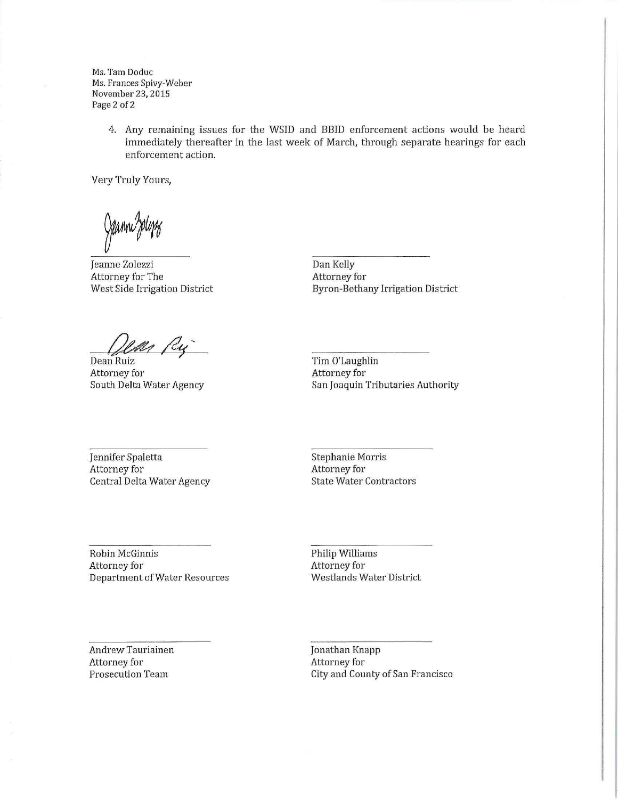Ms. Tam Doduc Ms. Frances Spivy-Weber November 23, 2015 Page 2 of 2

> 4. Any remaining issues for the WSID and BBID enforcement actions would be heard immediately thereafter in the last week of March, through separate hearings for each enforcement action.

Very Truly Yours,

Jeanne Zolezzi Attorney for The West Side Irrigation District

Dan Kelly Attorney for Byron-Bethany Irrigation District

Ry Dean Ruiz

Attorney for South Delta Water Agency

Tim O'Laughlin Attorney for San Joaquin Tributaries Authority

Jennifer Spaletta Attorney for Central Delta Water Agency Stephanie Morris Attorney for State Water Contractors

Robin McGinnis Attorney for Department of Water Resources Philip Williams Attorney for Westlands Water District

Andrew Tauriainen Attorney for Prosecution Team

Jonathan Knapp Attorney for City and County of San Francisco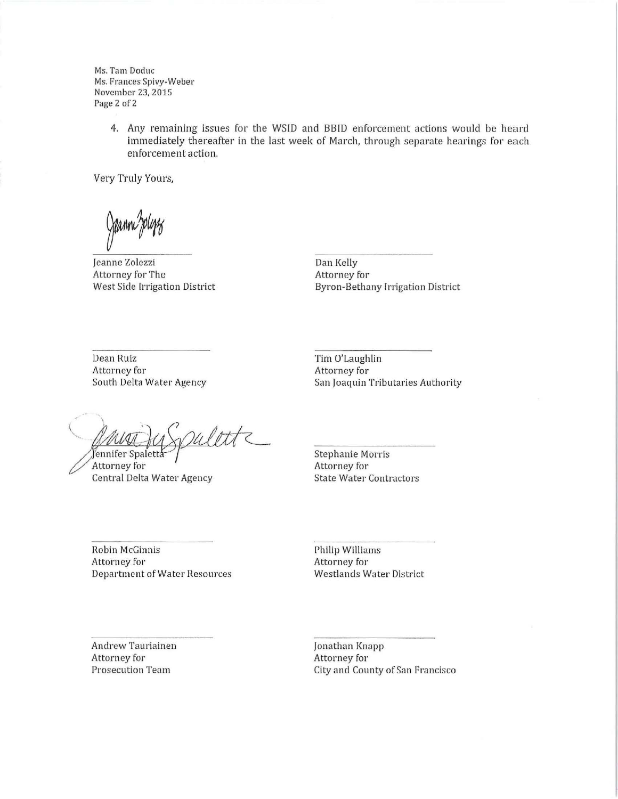Ms. Tam Doduc Ms. Frances Spivy-Weber November 23, 2015 Page 2 of 2

> 4. Any remaining issues for the WSID and BBID enforcement actions would be heard immediately thereafter in the last week of March, through separate hearings for each enforcement action.

Very Truly Yours,

Jeanne Zolezzi Attorney for The West Side Irrigation District

Dan Kelly Attorney for Byron-Bethany Irrigation District

Dean Ruiz Attorney for South Delta Water Agency

 $\mathcal{C}$ rulette Jennifer Spaletta

**Attorney for Central Delta Water Agency** 

Tim O'Laughlin Attorney for San joaquin Tributaries Authority

Stephanie Morris Attorney for State Water Contractors

Robin McGinnis Attorney for Department of Water Resources Philip Williams Attorney for Westlands Water District

Andrew Tauriainen Attorney for Prosecution Team

jonathan Knapp Attorney for City and County of San Francisco